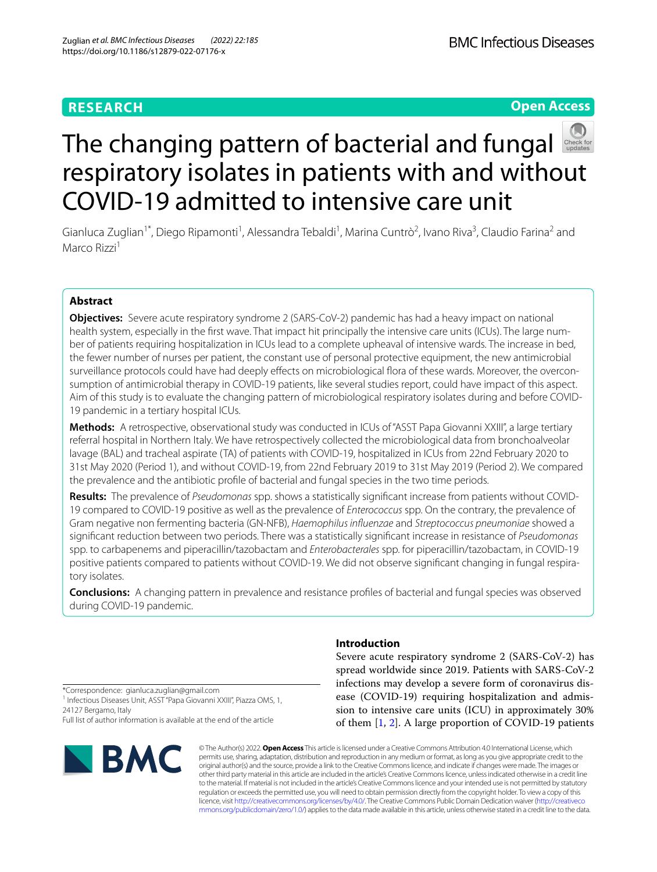# **RESEARCH**

**Open Access**

# The changing pattern of bacterial and fungal respiratory isolates in patients with and without COVID-19 admitted to intensive care unit

Gianluca Zuglian<sup>1\*</sup>, Diego Ripamonti<sup>1</sup>, Alessandra Tebaldi<sup>1</sup>, Marina Cuntrò<sup>2</sup>, Ivano Riva<sup>3</sup>, Claudio Farina<sup>2</sup> and Marco Rizzi<sup>1</sup>

# **Abstract**

**Objectives:** Severe acute respiratory syndrome 2 (SARS-CoV-2) pandemic has had a heavy impact on national health system, especially in the first wave. That impact hit principally the intensive care units (ICUs). The large number of patients requiring hospitalization in ICUs lead to a complete upheaval of intensive wards. The increase in bed, the fewer number of nurses per patient, the constant use of personal protective equipment, the new antimicrobial surveillance protocols could have had deeply effects on microbiological flora of these wards. Moreover, the overconsumption of antimicrobial therapy in COVID-19 patients, like several studies report, could have impact of this aspect. Aim of this study is to evaluate the changing pattern of microbiological respiratory isolates during and before COVID-19 pandemic in a tertiary hospital ICUs.

**Methods:** A retrospective, observational study was conducted in ICUs of "ASST Papa Giovanni XXIII", a large tertiary referral hospital in Northern Italy. We have retrospectively collected the microbiological data from bronchoalveolar lavage (BAL) and tracheal aspirate (TA) of patients with COVID-19, hospitalized in ICUs from 22nd February 2020 to 31st May 2020 (Period 1), and without COVID-19, from 22nd February 2019 to 31st May 2019 (Period 2). We compared the prevalence and the antibiotic profle of bacterial and fungal species in the two time periods.

**Results:** The prevalence of *Pseudomonas* spp. shows a statistically signifcant increase from patients without COVID-19 compared to COVID-19 positive as well as the prevalence of *Enterococcus* spp. On the contrary, the prevalence of Gram negative non fermenting bacteria (GN-NFB), *Haemophilus infuenzae* and *Streptococcus pneumoniae* showed a signifcant reduction between two periods. There was a statistically signifcant increase in resistance of *Pseudomonas* spp. to carbapenems and piperacillin/tazobactam and *Enterobacterales* spp. for piperacillin/tazobactam, in COVID-19 positive patients compared to patients without COVID-19. We did not observe signifcant changing in fungal respiratory isolates.

**Conclusions:** A changing pattern in prevalence and resistance profles of bacterial and fungal species was observed during COVID-19 pandemic.

**Introduction**

Severe acute respiratory syndrome 2 (SARS-CoV-2) has spread worldwide since 2019. Patients with SARS-CoV-2 infections may develop a severe form of coronavirus disease (COVID-19) requiring hospitalization and admission to intensive care units (ICU) in approximately 30% of them [\[1,](#page-4-0) [2\]](#page-4-1). A large proportion of COVID-19 patients

\*Correspondence: gianluca.zuglian@gmail.com <sup>1</sup> Infectious Diseases Unit, ASST "Papa Giovanni XXIII", Piazza OMS, 1, 24127 Bergamo, Italy Full list of author information is available at the end of the article



© The Author(s) 2022. **Open Access** This article is licensed under a Creative Commons Attribution 4.0 International License, which permits use, sharing, adaptation, distribution and reproduction in any medium or format, as long as you give appropriate credit to the original author(s) and the source, provide a link to the Creative Commons licence, and indicate if changes were made. The images or other third party material in this article are included in the article's Creative Commons licence, unless indicated otherwise in a credit line to the material. If material is not included in the article's Creative Commons licence and your intended use is not permitted by statutory regulation or exceeds the permitted use, you will need to obtain permission directly from the copyright holder. To view a copy of this licence, visit [http://creativecommons.org/licenses/by/4.0/.](http://creativecommons.org/licenses/by/4.0/) The Creative Commons Public Domain Dedication waiver ([http://creativeco](http://creativecommons.org/publicdomain/zero/1.0/) [mmons.org/publicdomain/zero/1.0/](http://creativecommons.org/publicdomain/zero/1.0/)) applies to the data made available in this article, unless otherwise stated in a credit line to the data.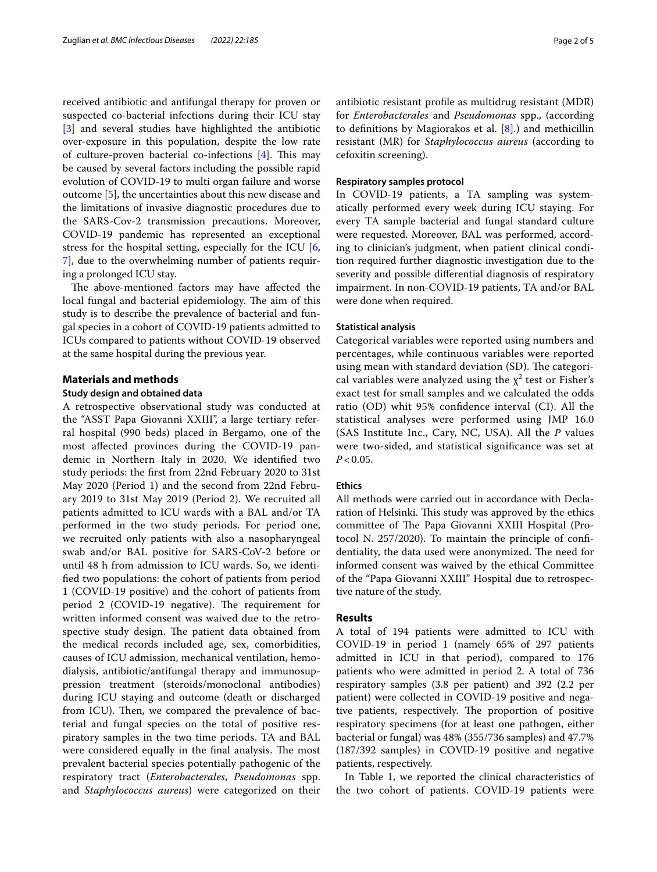received antibiotic and antifungal therapy for proven or suspected co-bacterial infections during their ICU stay [[3\]](#page-4-2) and several studies have highlighted the antibiotic over-exposure in this population, despite the low rate of culture-proven bacterial co-infections  $[4]$  $[4]$  $[4]$ . This may be caused by several factors including the possible rapid evolution of COVID-19 to multi organ failure and worse outcome [[5\]](#page-4-4), the uncertainties about this new disease and the limitations of invasive diagnostic procedures due to the SARS-Cov-2 transmission precautions. Moreover, COVID-19 pandemic has represented an exceptional stress for the hospital setting, especially for the ICU [\[6](#page-4-5), [7\]](#page-4-6), due to the overwhelming number of patients requiring a prolonged ICU stay.

The above-mentioned factors may have affected the local fungal and bacterial epidemiology. The aim of this study is to describe the prevalence of bacterial and fungal species in a cohort of COVID-19 patients admitted to ICUs compared to patients without COVID-19 observed at the same hospital during the previous year.

# **Materials and methods**

# **Study design and obtained data**

A retrospective observational study was conducted at the "ASST Papa Giovanni XXIII", a large tertiary referral hospital (990 beds) placed in Bergamo, one of the most afected provinces during the COVID-19 pandemic in Northern Italy in 2020. We identifed two study periods: the frst from 22nd February 2020 to 31st May 2020 (Period 1) and the second from 22nd February 2019 to 31st May 2019 (Period 2). We recruited all patients admitted to ICU wards with a BAL and/or TA performed in the two study periods. For period one, we recruited only patients with also a nasopharyngeal swab and/or BAL positive for SARS-CoV-2 before or until 48 h from admission to ICU wards. So, we identifed two populations: the cohort of patients from period 1 (COVID-19 positive) and the cohort of patients from period 2 (COVID-19 negative). The requirement for written informed consent was waived due to the retrospective study design. The patient data obtained from the medical records included age, sex, comorbidities, causes of ICU admission, mechanical ventilation, hemodialysis, antibiotic/antifungal therapy and immunosuppression treatment (steroids/monoclonal antibodies) during ICU staying and outcome (death or discharged from ICU). Then, we compared the prevalence of bacterial and fungal species on the total of positive respiratory samples in the two time periods. TA and BAL were considered equally in the final analysis. The most prevalent bacterial species potentially pathogenic of the respiratory tract (*Enterobacterales*, *Pseudomonas* spp. and *Staphylococcus aureus*) were categorized on their antibiotic resistant profle as multidrug resistant (MDR) for *Enterobacterales* and *Pseudomonas* spp., (according to definitions by Magiorakos et al.  $[8]$  $[8]$ .) and methicillin resistant (MR) for *Staphylococcus aureus* (according to cefoxitin screening).

# **Respiratory samples protocol**

In COVID-19 patients, a TA sampling was systematically performed every week during ICU staying. For every TA sample bacterial and fungal standard culture were requested. Moreover, BAL was performed, according to clinician's judgment, when patient clinical condition required further diagnostic investigation due to the severity and possible diferential diagnosis of respiratory impairment. In non-COVID-19 patients, TA and/or BAL were done when required.

# **Statistical analysis**

Categorical variables were reported using numbers and percentages, while continuous variables were reported using mean with standard deviation (SD). The categorical variables were analyzed using the  $\chi^2$  test or Fisher's exact test for small samples and we calculated the odds ratio (OD) whit 95% confdence interval (CI). All the statistical analyses were performed using JMP 16.0 (SAS Institute Inc., Cary, NC, USA). All the *P* values were two-sided, and statistical signifcance was set at  $P < 0.05$ .

# **Ethics**

All methods were carried out in accordance with Declaration of Helsinki. This study was approved by the ethics committee of The Papa Giovanni XXIII Hospital (Protocol N. 257/2020). To maintain the principle of confdentiality, the data used were anonymized. The need for informed consent was waived by the ethical Committee of the "Papa Giovanni XXIII" Hospital due to retrospective nature of the study.

# **Results**

A total of 194 patients were admitted to ICU with COVID-19 in period 1 (namely 65% of 297 patients admitted in ICU in that period), compared to 176 patients who were admitted in period 2. A total of 736 respiratory samples (3.8 per patient) and 392 (2.2 per patient) were collected in COVID-19 positive and negative patients, respectively. The proportion of positive respiratory specimens (for at least one pathogen, either bacterial or fungal) was 48% (355/736 samples) and 47.7% (187/392 samples) in COVID-19 positive and negative patients, respectively.

In Table [1](#page-2-0), we reported the clinical characteristics of the two cohort of patients. COVID-19 patients were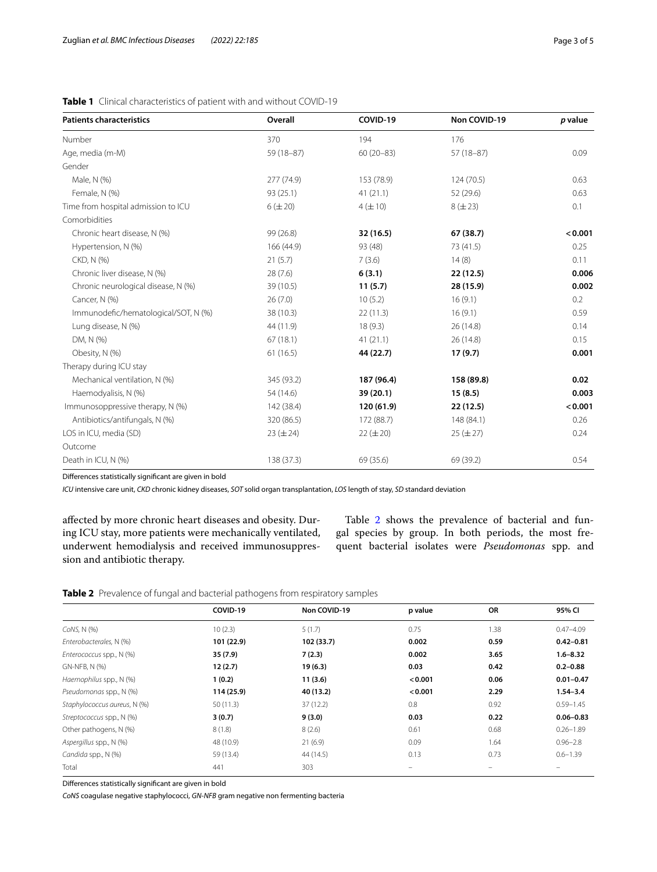| <b>Patients characteristics</b>      | Overall       | COVID-19      | Non COVID-19  | p value |
|--------------------------------------|---------------|---------------|---------------|---------|
| Number                               | 370           | 194           | 176           |         |
| Age, media (m-M)                     | $59(18-87)$   | $60(20 - 83)$ | $57(18-87)$   | 0.09    |
| Gender                               |               |               |               |         |
| Male, N (%)                          | 277 (74.9)    | 153 (78.9)    | 124(70.5)     | 0.63    |
| Female, N (%)                        | 93 (25.1)     | 41(21.1)      | 52 (29.6)     | 0.63    |
| Time from hospital admission to ICU  | $6 (\pm 20)$  | $4 (\pm 10)$  | $8 (\pm 23)$  | 0.1     |
| Comorbidities                        |               |               |               |         |
| Chronic heart disease, N (%)         | 99 (26.8)     | 32 (16.5)     | 67 (38.7)     | < 0.001 |
| Hypertension, N (%)                  | 166 (44.9)    | 93 (48)       | 73 (41.5)     | 0.25    |
| CKD, N (%)                           | 21(5.7)       | 7(3.6)        | 14(8)         | 0.11    |
| Chronic liver disease, N (%)         | 28(7.6)       | 6(3.1)        | 22 (12.5)     | 0.006   |
| Chronic neurological disease, N (%)  | 39 (10.5)     | 11(5.7)       | 28 (15.9)     | 0.002   |
| Cancer, N (%)                        | 26(7.0)       | 10(5.2)       | 16(9.1)       | 0.2     |
| Immunodefic/hematological/SOT, N (%) | 38 (10.3)     | 22(11.3)      | 16(9.1)       | 0.59    |
| Lung disease, N (%)                  | 44 (11.9)     | 18(9.3)       | 26 (14.8)     | 0.14    |
| DM, N (%)                            | 67(18.1)      | 41(21.1)      | 26 (14.8)     | 0.15    |
| Obesity, N (%)                       | 61(16.5)      | 44 (22.7)     | 17(9.7)       | 0.001   |
| Therapy during ICU stay              |               |               |               |         |
| Mechanical ventilation, N (%)        | 345 (93.2)    | 187 (96.4)    | 158 (89.8)    | 0.02    |
| Haemodyalisis, N (%)                 | 54 (14.6)     | 39(20.1)      | 15(8.5)       | 0.003   |
| Immunosoppressive therapy, N (%)     | 142 (38.4)    | 120 (61.9)    | 22(12.5)      | < 0.001 |
| Antibiotics/antifungals, N (%)       | 320 (86.5)    | 172 (88.7)    | 148 (84.1)    | 0.26    |
| LOS in ICU, media (SD)               | $23 (\pm 24)$ | $22 (\pm 20)$ | $25 (\pm 27)$ | 0.24    |
| Outcome                              |               |               |               |         |
| Death in ICU, N (%)                  | 138 (37.3)    | 69 (35.6)     | 69 (39.2)     | 0.54    |

<span id="page-2-0"></span>**Table 1** Clinical characteristics of patient with and without COVID-19

Diferences statistically signifcant are given in bold

*ICU* intensive care unit, *CKD* chronic kidney diseases, *SOT* solid organ transplantation, *LOS* length of stay, *SD* standard deviation

afected by more chronic heart diseases and obesity. During ICU stay, more patients were mechanically ventilated, underwent hemodialysis and received immunosuppression and antibiotic therapy.

Table [2](#page-2-1) shows the prevalence of bacterial and fungal species by group. In both periods, the most frequent bacterial isolates were *Pseudomonas* spp. and

<span id="page-2-1"></span>**Table 2** Prevalence of fungal and bacterial pathogens from respiratory samples

|                              | COVID-19   | Non COVID-19 | p value | <b>OR</b> | 95% CI        |
|------------------------------|------------|--------------|---------|-----------|---------------|
| CoNS, N (%)                  | 10(2.3)    | 5(1.7)       | 0.75    | 1.38      | $0.47 - 4.09$ |
| Enterobacterales, N (%)      | 101 (22.9) | 102 (33.7)   | 0.002   | 0.59      | $0.42 - 0.81$ |
| Enterococcus spp., N (%)     | 35 (7.9)   | 7(2.3)       | 0.002   | 3.65      | $1.6 - 8.32$  |
| GN-NFB, N (%)                | 12(2.7)    | 19(6.3)      | 0.03    | 0.42      | $0.2 - 0.88$  |
| Haemophilus spp., N (%)      | 1(0.2)     | 11(3.6)      | < 0.001 | 0.06      | $0.01 - 0.47$ |
| Pseudomonas spp., N (%)      | 114 (25.9) | 40 (13.2)    | < 0.001 | 2.29      | $1.54 - 3.4$  |
| Staphylococcus aureus, N (%) | 50(11.3)   | 37(12.2)     | 0.8     | 0.92      | $0.59 - 1.45$ |
| Streptococcus spp., N (%)    | 3(0.7)     | 9(3.0)       | 0.03    | 0.22      | $0.06 - 0.83$ |
| Other pathogens, N (%)       | 8(1.8)     | 8(2.6)       | 0.61    | 0.68      | $0.26 - 1.89$ |
| Aspergillus spp., N (%)      | 48 (10.9)  | 21(6.9)      | 0.09    | 1.64      | $0.96 - 2.8$  |
| Candida spp., N (%)          | 59 (13.4)  | 44 (14.5)    | 0.13    | 0.73      | $0.6 - 1.39$  |
| Total                        | 441        | 303          | -       |           | -             |

Diferences statistically signifcant are given in bold

*CoNS* coagulase negative staphylococci, *GN-NFB* gram negative non fermenting bacteria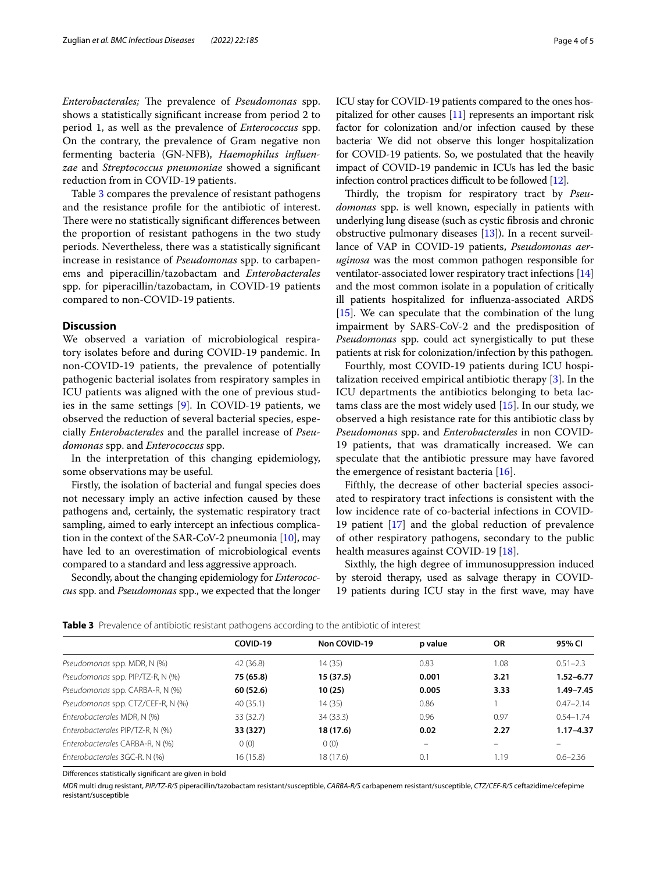*Enterobacterales;* The prevalence of *Pseudomonas* spp. shows a statistically signifcant increase from period 2 to period 1, as well as the prevalence of *Enterococcus* spp. On the contrary, the prevalence of Gram negative non fermenting bacteria (GN-NFB), *Haemophilus infuenzae* and *Streptococcus pneumoniae* showed a signifcant reduction from in COVID-19 patients.

Table [3](#page-3-0) compares the prevalence of resistant pathogens and the resistance profle for the antibiotic of interest. There were no statistically significant differences between the proportion of resistant pathogens in the two study periods. Nevertheless, there was a statistically signifcant increase in resistance of *Pseudomonas* spp. to carbapenems and piperacillin/tazobactam and *Enterobacterales* spp. for piperacillin/tazobactam, in COVID-19 patients compared to non-COVID-19 patients.

# **Discussion**

We observed a variation of microbiological respiratory isolates before and during COVID-19 pandemic. In non-COVID-19 patients, the prevalence of potentially pathogenic bacterial isolates from respiratory samples in ICU patients was aligned with the one of previous studies in the same settings  $[9]$  $[9]$ . In COVID-19 patients, we observed the reduction of several bacterial species, especially *Enterobacterales* and the parallel increase of *Pseudomonas* spp. and *Enterococcus* spp.

In the interpretation of this changing epidemiology, some observations may be useful.

Firstly, the isolation of bacterial and fungal species does not necessary imply an active infection caused by these pathogens and, certainly, the systematic respiratory tract sampling, aimed to early intercept an infectious complication in the context of the SAR-CoV-2 pneumonia [[10](#page-4-9)], may have led to an overestimation of microbiological events compared to a standard and less aggressive approach.

Secondly, about the changing epidemiology for *Enterococcus* spp. and *Pseudomonas* spp., we expected that the longer ICU stay for COVID-19 patients compared to the ones hospitalized for other causes [\[11\]](#page-4-10) represents an important risk factor for colonization and/or infection caused by these bacteria. We did not observe this longer hospitalization for COVID-19 patients. So, we postulated that the heavily impact of COVID-19 pandemic in ICUs has led the basic infection control practices difficult to be followed [\[12\]](#page-4-11).

Thirdly, the tropism for respiratory tract by *Pseudomonas* spp. is well known, especially in patients with underlying lung disease (such as cystic fbrosis and chronic obstructive pulmonary diseases  $[13]$ ). In a recent surveillance of VAP in COVID-19 patients, *Pseudomonas aeruginosa* was the most common pathogen responsible for ventilator-associated lower respiratory tract infections [[14](#page-4-13)] and the most common isolate in a population of critically ill patients hospitalized for infuenza-associated ARDS [[15](#page-4-14)]. We can speculate that the combination of the lung impairment by SARS-CoV-2 and the predisposition of *Pseudomonas* spp. could act synergistically to put these patients at risk for colonization/infection by this pathogen.

Fourthly, most COVID-19 patients during ICU hospitalization received empirical antibiotic therapy [\[3](#page-4-2)]. In the ICU departments the antibiotics belonging to beta lactams class are the most widely used [\[15](#page-4-14)]. In our study, we observed a high resistance rate for this antibiotic class by *Pseudomonas* spp. and *Enterobacterales* in non COVID-19 patients, that was dramatically increased. We can speculate that the antibiotic pressure may have favored the emergence of resistant bacteria [\[16](#page-4-15)].

Fifthly, the decrease of other bacterial species associated to respiratory tract infections is consistent with the low incidence rate of co-bacterial infections in COVID-19 patient [[17\]](#page-4-16) and the global reduction of prevalence of other respiratory pathogens, secondary to the public health measures against COVID-19 [\[18](#page-4-17)].

Sixthly, the high degree of immunosuppression induced by steroid therapy, used as salvage therapy in COVID-19 patients during ICU stay in the frst wave, may have

<span id="page-3-0"></span>

| <b>Table 3</b> Prevalence of antibiotic resistant pathogens according to the antibiotic of interest |  |  |
|-----------------------------------------------------------------------------------------------------|--|--|
|-----------------------------------------------------------------------------------------------------|--|--|

|                                   | COVID-19  | Non COVID-19 | p value | <b>OR</b> | 95% CI        |
|-----------------------------------|-----------|--------------|---------|-----------|---------------|
| Pseudomonas spp. MDR, N (%)       | 42 (36.8) | 14 (35)      | 0.83    | 1.08      | $0.51 - 2.3$  |
| Pseudomonas spp. PIP/TZ-R, N (%)  | 75 (65.8) | 15 (37.5)    | 0.001   | 3.21      | $1.52 - 6.77$ |
| Pseudomonas spp. CARBA-R, N (%)   | 60 (52.6) | 10(25)       | 0.005   | 3.33      | $1.49 - 7.45$ |
| Pseudomonas spp. CTZ/CEF-R, N (%) | 40(35.1)  | 14 (35)      | 0.86    |           | $0.47 - 2.14$ |
| Enterobacterales MDR, N (%)       | 33 (32.7) | 34 (33.3)    | 0.96    | 0.97      | $0.54 - 1.74$ |
| Enterobacterales PIP/TZ-R, N (%)  | 33 (327)  | 18 (17.6)    | 0.02    | 2.27      | $1.17 - 4.37$ |
| Enterobacterales CARBA-R, N (%)   | 0(0)      | 0(0)         | -       |           |               |
| Enterobacterales 3GC-R. N (%)     | 16(15.8)  | 18 (17.6)    | 0.1     | 1.19      | $0.6 - 2.36$  |

Diferences statistically signifcant are given in bold

*MDR* multi drug resistant, *PIP/TZ-R/S* piperacillin/tazobactam resistant/susceptible, *CARBA-R/S* carbapenem resistant/susceptible, *CTZ/CEF-R/S* ceftazidime/cefepime resistant/susceptible